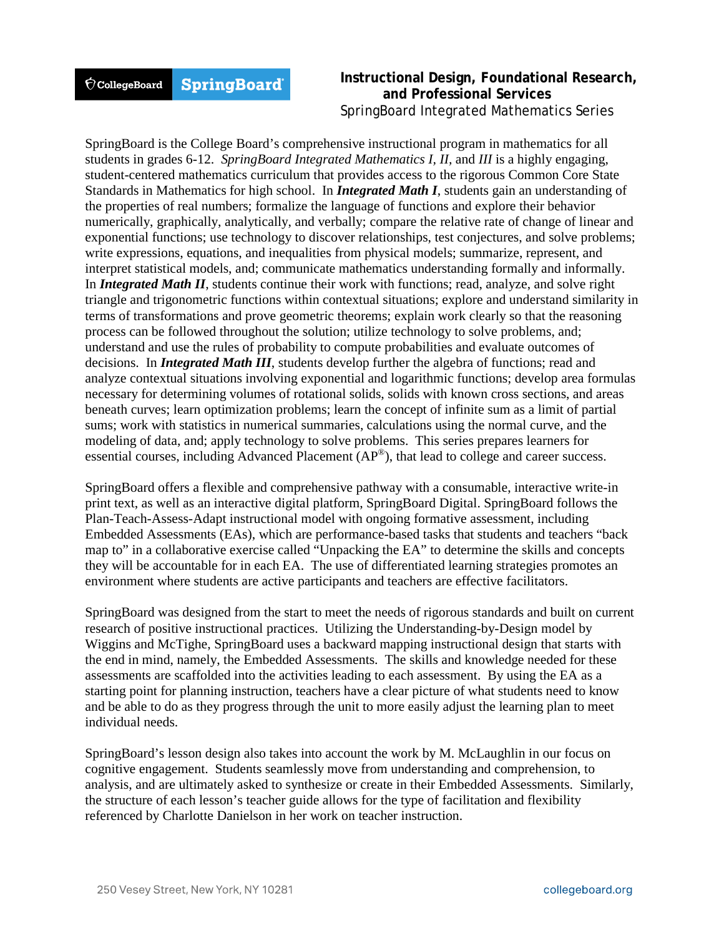#### **SpringBoard**  $\acute{\nabla}$ CollegeBoard

## **Instructional Design, Foundational Research, and Professional Services** SpringBoard Integrated Mathematics Series

SpringBoard is the College Board's comprehensive instructional program in mathematics for all students in grades 6-12. *SpringBoard Integrated Mathematics I, II,* and *III* is a highly engaging, student-centered mathematics curriculum that provides access to the rigorous Common Core State Standards in Mathematics for high school. In *Integrated Math I*, students gain an understanding of the properties of real numbers; formalize the language of functions and explore their behavior numerically, graphically, analytically, and verbally; compare the relative rate of change of linear and exponential functions; use technology to discover relationships, test conjectures, and solve problems; write expressions, equations, and inequalities from physical models; summarize, represent, and interpret statistical models, and; communicate mathematics understanding formally and informally. In *Integrated Math II*, students continue their work with functions; read, analyze, and solve right triangle and trigonometric functions within contextual situations; explore and understand similarity in terms of transformations and prove geometric theorems; explain work clearly so that the reasoning process can be followed throughout the solution; utilize technology to solve problems, and; understand and use the rules of probability to compute probabilities and evaluate outcomes of decisions. In *Integrated Math III*, students develop further the algebra of functions; read and analyze contextual situations involving exponential and logarithmic functions; develop area formulas necessary for determining volumes of rotational solids, solids with known cross sections, and areas beneath curves; learn optimization problems; learn the concept of infinite sum as a limit of partial sums; work with statistics in numerical summaries, calculations using the normal curve, and the modeling of data, and; apply technology to solve problems. This series prepares learners for essential courses, including Advanced Placement (AP®), that lead to college and career success.

SpringBoard offers a flexible and comprehensive pathway with a consumable, interactive write-in print text, as well as an interactive digital platform, SpringBoard Digital. SpringBoard follows the Plan-Teach-Assess-Adapt instructional model with ongoing formative assessment, including Embedded Assessments (EAs), which are performance-based tasks that students and teachers "back map to" in a collaborative exercise called "Unpacking the EA" to determine the skills and concepts they will be accountable for in each EA. The use of differentiated learning strategies promotes an environment where students are active participants and teachers are effective facilitators.

SpringBoard was designed from the start to meet the needs of rigorous standards and built on current research of positive instructional practices. Utilizing the Understanding-by-Design model by Wiggins and McTighe, SpringBoard uses a backward mapping instructional design that starts with the end in mind, namely, the Embedded Assessments. The skills and knowledge needed for these assessments are scaffolded into the activities leading to each assessment. By using the EA as a starting point for planning instruction, teachers have a clear picture of what students need to know and be able to do as they progress through the unit to more easily adjust the learning plan to meet individual needs.

SpringBoard's lesson design also takes into account the work by M. McLaughlin in our focus on cognitive engagement. Students seamlessly move from understanding and comprehension, to analysis, and are ultimately asked to synthesize or create in their Embedded Assessments. Similarly, the structure of each lesson's teacher guide allows for the type of facilitation and flexibility referenced by Charlotte Danielson in her work on teacher instruction.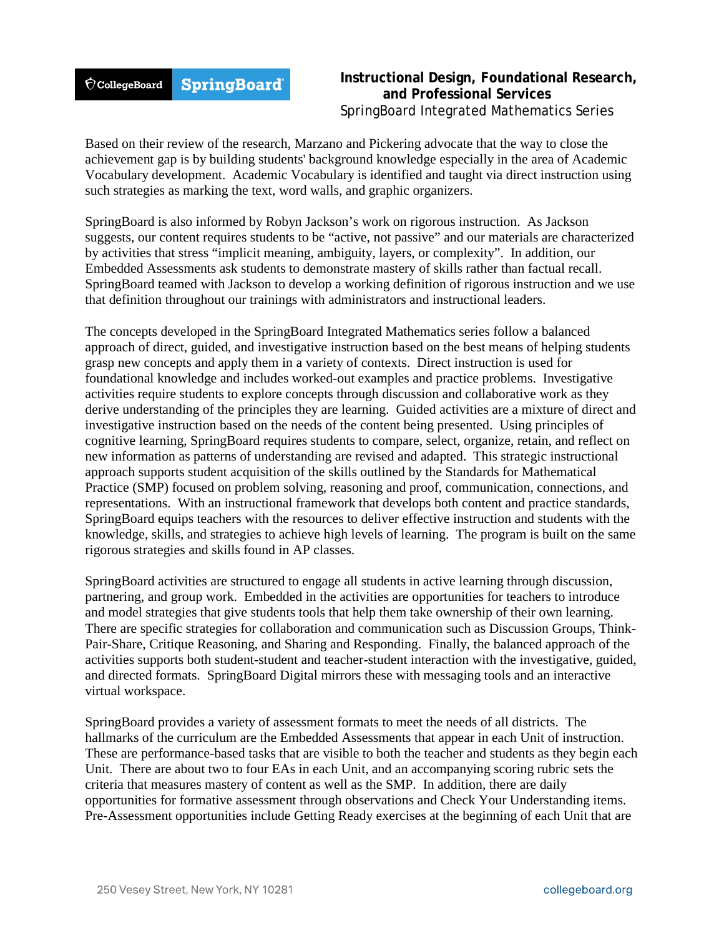#### **SpringBoard**  $\acute{\nabla}$ CollegeBoard

# **Instructional Design, Foundational Research, and Professional Services** SpringBoard Integrated Mathematics Series

Based on their review of the research, Marzano and Pickering advocate that the way to close the achievement gap is by building students' background knowledge especially in the area of Academic Vocabulary development. Academic Vocabulary is identified and taught via direct instruction using such strategies as marking the text, word walls, and graphic organizers.

SpringBoard is also informed by Robyn Jackson's work on rigorous instruction. As Jackson suggests, our content requires students to be "active, not passive" and our materials are characterized by activities that stress "implicit meaning, ambiguity, layers, or complexity". In addition, our Embedded Assessments ask students to demonstrate mastery of skills rather than factual recall. SpringBoard teamed with Jackson to develop a working definition of rigorous instruction and we use that definition throughout our trainings with administrators and instructional leaders.

The concepts developed in the SpringBoard Integrated Mathematics series follow a balanced approach of direct, guided, and investigative instruction based on the best means of helping students grasp new concepts and apply them in a variety of contexts. Direct instruction is used for foundational knowledge and includes worked-out examples and practice problems. Investigative activities require students to explore concepts through discussion and collaborative work as they derive understanding of the principles they are learning. Guided activities are a mixture of direct and investigative instruction based on the needs of the content being presented. Using principles of cognitive learning, SpringBoard requires students to compare, select, organize, retain, and reflect on new information as patterns of understanding are revised and adapted. This strategic instructional approach supports student acquisition of the skills outlined by the Standards for Mathematical Practice (SMP) focused on problem solving, reasoning and proof, communication, connections, and representations. With an instructional framework that develops both content and practice standards, SpringBoard equips teachers with the resources to deliver effective instruction and students with the knowledge, skills, and strategies to achieve high levels of learning. The program is built on the same rigorous strategies and skills found in AP classes.

SpringBoard activities are structured to engage all students in active learning through discussion, partnering, and group work. Embedded in the activities are opportunities for teachers to introduce and model strategies that give students tools that help them take ownership of their own learning. There are specific strategies for collaboration and communication such as Discussion Groups, Think-Pair-Share, Critique Reasoning, and Sharing and Responding. Finally, the balanced approach of the activities supports both student-student and teacher-student interaction with the investigative, guided, and directed formats. SpringBoard Digital mirrors these with messaging tools and an interactive virtual workspace.

SpringBoard provides a variety of assessment formats to meet the needs of all districts. The hallmarks of the curriculum are the Embedded Assessments that appear in each Unit of instruction. These are performance-based tasks that are visible to both the teacher and students as they begin each Unit. There are about two to four EAs in each Unit, and an accompanying scoring rubric sets the criteria that measures mastery of content as well as the SMP. In addition, there are daily opportunities for formative assessment through observations and Check Your Understanding items. Pre-Assessment opportunities include Getting Ready exercises at the beginning of each Unit that are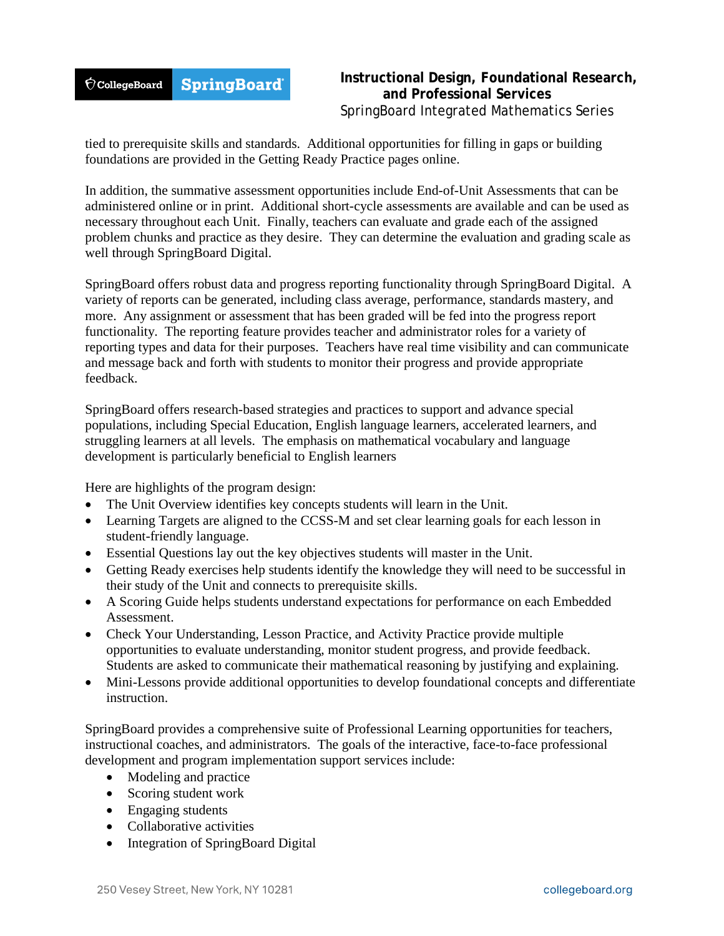

# **Instructional Design, Foundational Research, and Professional Services** SpringBoard Integrated Mathematics Series

tied to prerequisite skills and standards. Additional opportunities for filling in gaps or building foundations are provided in the Getting Ready Practice pages online.

In addition, the summative assessment opportunities include End-of-Unit Assessments that can be administered online or in print. Additional short-cycle assessments are available and can be used as necessary throughout each Unit. Finally, teachers can evaluate and grade each of the assigned problem chunks and practice as they desire. They can determine the evaluation and grading scale as well through SpringBoard Digital.

SpringBoard offers robust data and progress reporting functionality through SpringBoard Digital. A variety of reports can be generated, including class average, performance, standards mastery, and more. Any assignment or assessment that has been graded will be fed into the progress report functionality. The reporting feature provides teacher and administrator roles for a variety of reporting types and data for their purposes. Teachers have real time visibility and can communicate and message back and forth with students to monitor their progress and provide appropriate feedback.

SpringBoard offers research-based strategies and practices to support and advance special populations, including Special Education, English language learners, accelerated learners, and struggling learners at all levels. The emphasis on mathematical vocabulary and language development is particularly beneficial to English learners

Here are highlights of the program design:

- The Unit Overview identifies key concepts students will learn in the Unit.
- Learning Targets are aligned to the CCSS-M and set clear learning goals for each lesson in student-friendly language.
- Essential Questions lay out the key objectives students will master in the Unit.
- Getting Ready exercises help students identify the knowledge they will need to be successful in their study of the Unit and connects to prerequisite skills.
- A Scoring Guide helps students understand expectations for performance on each Embedded Assessment.
- Check Your Understanding, Lesson Practice, and Activity Practice provide multiple opportunities to evaluate understanding, monitor student progress, and provide feedback. Students are asked to communicate their mathematical reasoning by justifying and explaining.
- Mini-Lessons provide additional opportunities to develop foundational concepts and differentiate instruction.

SpringBoard provides a comprehensive suite of Professional Learning opportunities for teachers, instructional coaches, and administrators. The goals of the interactive, face-to-face professional development and program implementation support services include:

- Modeling and practice
- Scoring student work
- Engaging students
- Collaborative activities
- Integration of SpringBoard Digital